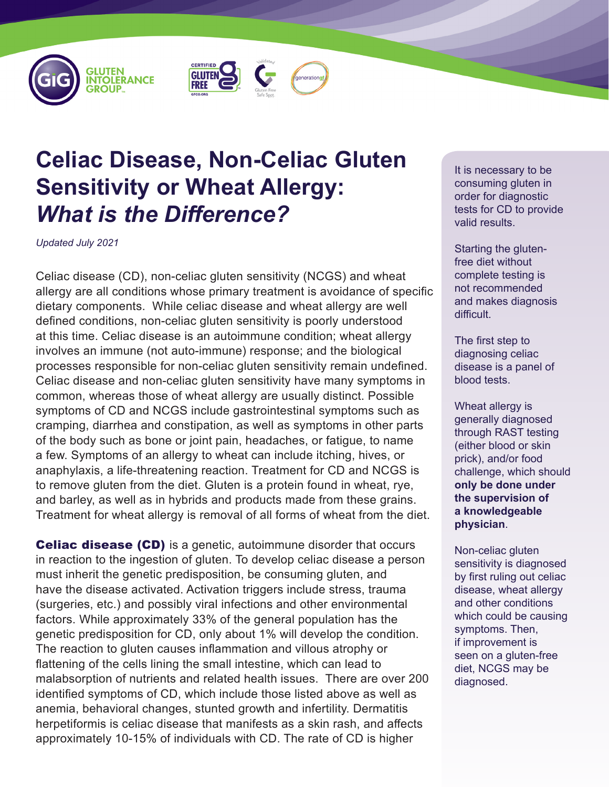





## **Celiac Disease, Non-Celiac Gluten Sensitivity or Wheat Allergy:**  *What is the Difference?*

*Updated July 2021*

Celiac disease (CD), non-celiac gluten sensitivity (NCGS) and wheat allergy are all conditions whose primary treatment is avoidance of specific dietary components. While celiac disease and wheat allergy are well defined conditions, non-celiac gluten sensitivity is poorly understood at this time. Celiac disease is an autoimmune condition; wheat allergy involves an immune (not auto-immune) response; and the biological processes responsible for non-celiac gluten sensitivity remain undefined. Celiac disease and non-celiac gluten sensitivity have many symptoms in common, whereas those of wheat allergy are usually distinct. Possible symptoms of CD and NCGS include gastrointestinal symptoms such as cramping, diarrhea and constipation, as well as symptoms in other parts of the body such as bone or joint pain, headaches, or fatigue, to name a few. Symptoms of an allergy to wheat can include itching, hives, or anaphylaxis, a life-threatening reaction. Treatment for CD and NCGS is to remove gluten from the diet. Gluten is a protein found in wheat, rye, and barley, as well as in hybrids and products made from these grains. Treatment for wheat allergy is removal of all forms of wheat from the diet.

**Celiac disease (CD)** is a genetic, autoimmune disorder that occurs in reaction to the ingestion of gluten. To develop celiac disease a person must inherit the genetic predisposition, be consuming gluten, and have the disease activated. Activation triggers include stress, trauma (surgeries, etc.) and possibly viral infections and other environmental factors. While approximately 33% of the general population has the genetic predisposition for CD, only about 1% will develop the condition. The reaction to gluten causes inflammation and villous atrophy or flattening of the cells lining the small intestine, which can lead to malabsorption of nutrients and related health issues. There are over 200 identified symptoms of CD, which include those listed above as well as anemia, behavioral changes, stunted growth and infertility. Dermatitis herpetiformis is celiac disease that manifests as a skin rash, and affects approximately 10-15% of individuals with CD. The rate of CD is higher

It is necessary to be consuming gluten in order for diagnostic tests for CD to provide valid results.

Starting the glutenfree diet without complete testing is not recommended and makes diagnosis difficult.

The first step to diagnosing celiac disease is a panel of blood tests.

Wheat allergy is generally diagnosed through RAST testing (either blood or skin prick), and/or food challenge, which should **only be done under the supervision of a knowledgeable physician**.

Non-celiac gluten sensitivity is diagnosed by first ruling out celiac disease, wheat allergy and other conditions which could be causing symptoms. Then, if improvement is seen on a gluten-free diet, NCGS may be diagnosed.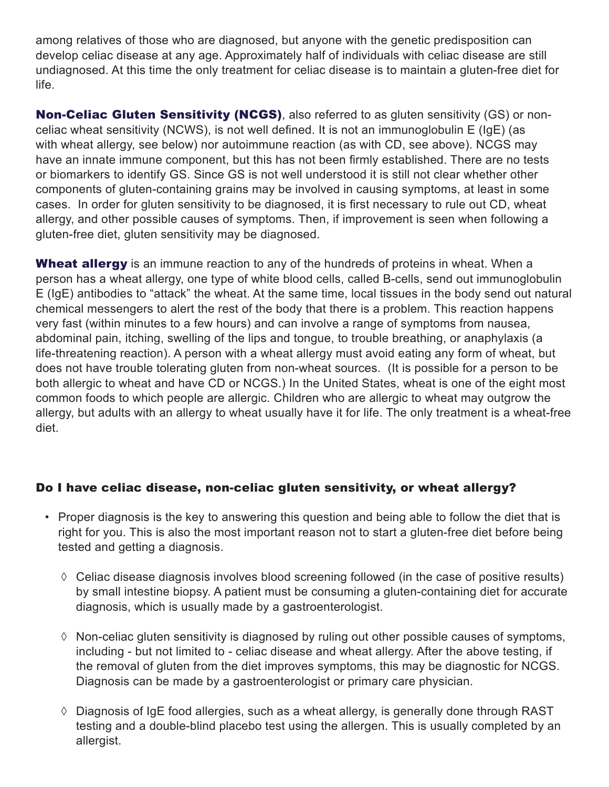among relatives of those who are diagnosed, but anyone with the genetic predisposition can develop celiac disease at any age. Approximately half of individuals with celiac disease are still undiagnosed. At this time the only treatment for celiac disease is to maintain a gluten-free diet for life.

**Non-Celiac Gluten Sensitivity (NCGS)**, also referred to as gluten sensitivity (GS) or nonceliac wheat sensitivity (NCWS), is not well defined. It is not an immunoglobulin E (IgE) (as with wheat allergy, see below) nor autoimmune reaction (as with CD, see above). NCGS may have an innate immune component, but this has not been firmly established. There are no tests or biomarkers to identify GS. Since GS is not well understood it is still not clear whether other components of gluten-containing grains may be involved in causing symptoms, at least in some cases. In order for gluten sensitivity to be diagnosed, it is first necessary to rule out CD, wheat allergy, and other possible causes of symptoms. Then, if improvement is seen when following a gluten-free diet, gluten sensitivity may be diagnosed.

Wheat allergy is an immune reaction to any of the hundreds of proteins in wheat. When a person has a wheat allergy, one type of white blood cells, called B-cells, send out immunoglobulin E (IgE) antibodies to "attack" the wheat. At the same time, local tissues in the body send out natural chemical messengers to alert the rest of the body that there is a problem. This reaction happens very fast (within minutes to a few hours) and can involve a range of symptoms from nausea, abdominal pain, itching, swelling of the lips and tongue, to trouble breathing, or anaphylaxis (a life-threatening reaction). A person with a wheat allergy must avoid eating any form of wheat, but does not have trouble tolerating gluten from non-wheat sources. (It is possible for a person to be both allergic to wheat and have CD or NCGS.) In the United States, wheat is one of the eight most common foods to which people are allergic. Children who are allergic to wheat may outgrow the allergy, but adults with an allergy to wheat usually have it for life. The only treatment is a wheat-free diet.

## Do I have celiac disease, non-celiac gluten sensitivity, or wheat allergy?

- Proper diagnosis is the key to answering this question and being able to follow the diet that is right for you. This is also the most important reason not to start a gluten-free diet before being tested and getting a diagnosis.
	- $\Diamond$  Celiac disease diagnosis involves blood screening followed (in the case of positive results) by small intestine biopsy. A patient must be consuming a gluten-containing diet for accurate diagnosis, which is usually made by a gastroenterologist.
	- ◊ Non-celiac gluten sensitivity is diagnosed by ruling out other possible causes of symptoms, including - but not limited to - celiac disease and wheat allergy. After the above testing, if the removal of gluten from the diet improves symptoms, this may be diagnostic for NCGS. Diagnosis can be made by a gastroenterologist or primary care physician.
	- ◊ Diagnosis of IgE food allergies, such as a wheat allergy, is generally done through RAST testing and a double-blind placebo test using the allergen. This is usually completed by an allergist.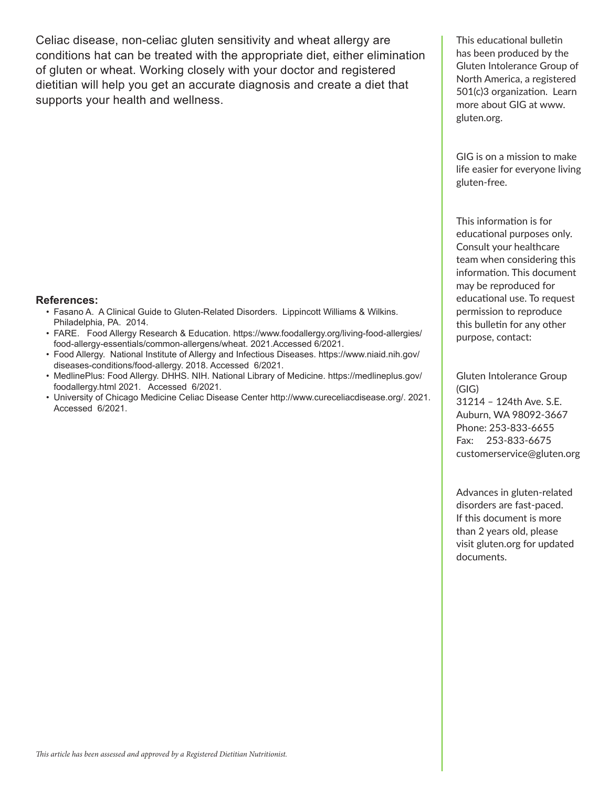Celiac disease, non-celiac gluten sensitivity and wheat allergy are conditions hat can be treated with the appropriate diet, either elimination of gluten or wheat. Working closely with your doctor and registered dietitian will help you get an accurate diagnosis and create a diet that supports your health and wellness.

## **References:**

- Fasano A. A Clinical Guide to Gluten-Related Disorders. Lippincott Williams & Wilkins. Philadelphia, PA. 2014.
- FARE. Food Allergy Research & Education. https://www.foodallergy.org/living-food-allergies/ food-allergy-essentials/common-allergens/wheat. 2021.Accessed 6/2021.
- Food Allergy. National Institute of Allergy and Infectious Diseases. https://www.niaid.nih.gov/ diseases-conditions/food-allergy. 2018. Accessed 6/2021.
- MedlinePlus: Food Allergy. DHHS. NIH. National Library of Medicine. https://medlineplus.gov/ foodallergy.html 2021. Accessed 6/2021.
- University of Chicago Medicine Celiac Disease Center http://www.cureceliacdisease.org/. 2021. Accessed 6/2021.

This educational bulletin has been produced by the Gluten Intolerance Group of North America, a registered 501(c)3 organization. Learn more about GIG at www. gluten.org.

GIG is on a mission to make life easier for everyone living gluten-free.

This information is for educational purposes only. Consult your healthcare team when considering this information. This document may be reproduced for educational use. To request permission to reproduce this bulletin for any other purpose, contact:

Gluten Intolerance Group (GIG) 31214 – 124th Ave. S.E. Auburn, WA 98092-3667 Phone: 253-833-6655 Fax: 253-833-6675 customerservice@gluten.org

Advances in gluten-related disorders are fast-paced. If this document is more than 2 years old, please visit gluten.org for updated documents.